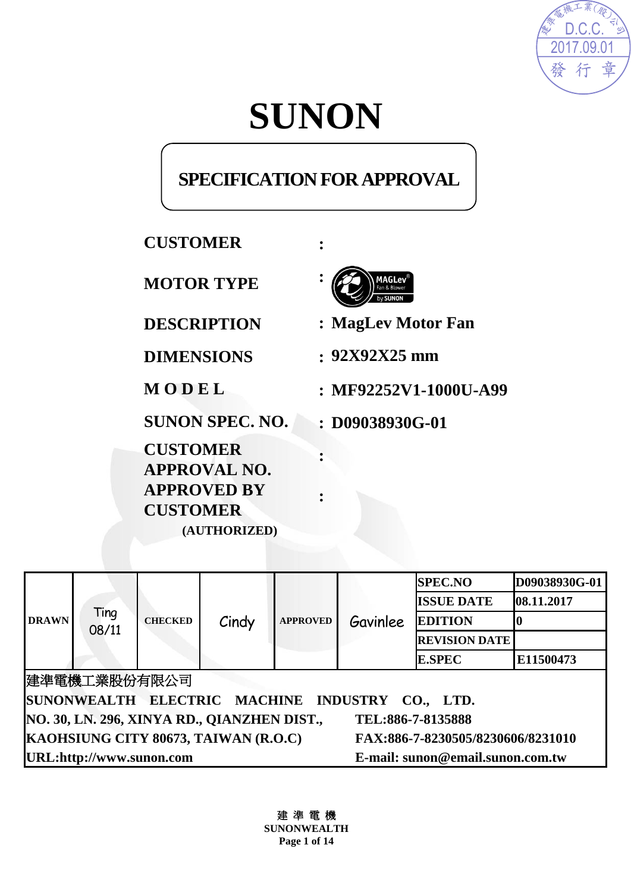

# **SUNON**

# **SPECIFICATION FOR APPROVAL**

# **CUSTOMER :**

**MOTOR TYPE :** 

**SUNON SPEC. NO. : D09038930G-01** 

**CUSTOMER APPROVAL NO. APPROVED BY CUSTOMER (AUTHORIZED)**



**DESCRIPTION : MagLev Motor Fan**

**DIMENSIONS : 92X92X25 mm**

**M O D E L : MF92252V1-1000U-A99**

| <b>DRAWN</b>                                                              |               | <b>CHECKED</b> | Cindy | <b>APPROVED</b> | Gavinlee | <b>SPEC.NO</b>       | D09038930G-01 |
|---------------------------------------------------------------------------|---------------|----------------|-------|-----------------|----------|----------------------|---------------|
|                                                                           | Ting<br>08/11 |                |       |                 |          | <b>ISSUE DATE</b>    | 08.11.2017    |
|                                                                           |               |                |       |                 |          | <b>EDITION</b>       |               |
|                                                                           |               |                |       |                 |          | <b>REVISION DATE</b> |               |
|                                                                           |               |                |       |                 |          | <b>E.SPEC</b>        | E11500473     |
| 建準電機工業股份有限公司                                                              |               |                |       |                 |          |                      |               |
| SUNONWEALTH ELECTRIC MACHINE INDUSTRY CO., LTD.                           |               |                |       |                 |          |                      |               |
| NO. 30, LN. 296, XINYA RD., QIANZHEN DIST.,<br>TEL:886-7-8135888          |               |                |       |                 |          |                      |               |
| KAOHSIUNG CITY 80673, TAIWAN (R.O.C)<br>FAX:886-7-8230505/8230606/8231010 |               |                |       |                 |          |                      |               |
| URL:http://www.sunon.com<br>E-mail: sunon@email.sunon.com.tw              |               |                |       |                 |          |                      |               |

**:** 

**:** 

建 準 電 機 **SUNONWEALTH Page 1 of 14**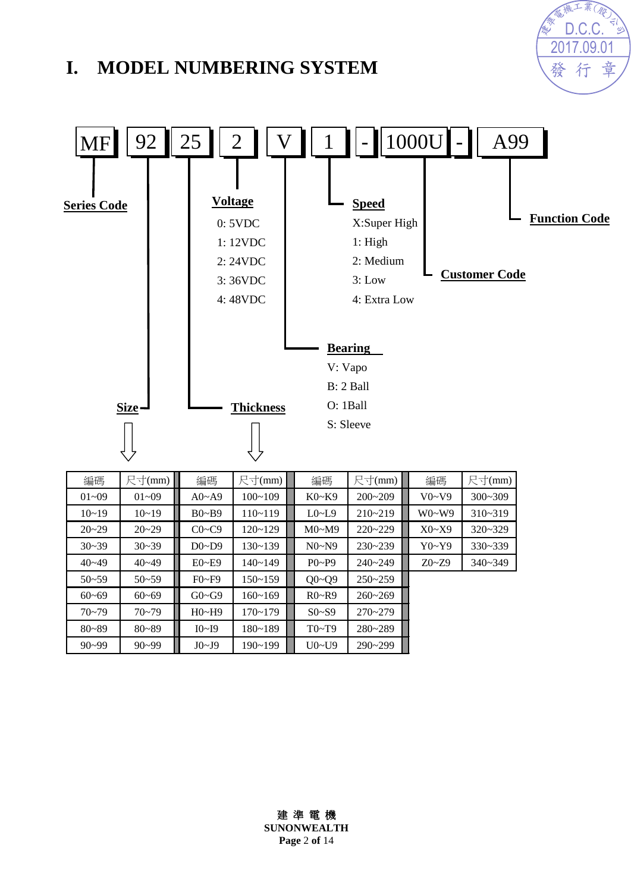# **I. MODEL NUMBERING SYSTEM**





| 編碼        | 尺寸(mm)    | 編碼           | 尺寸(mm)      | 編碼          | 尺寸(mm)      | 編碼        | 尺寸(mm)      |
|-----------|-----------|--------------|-------------|-------------|-------------|-----------|-------------|
| $01 - 09$ | $01 - 09$ | $A0 - A9$    | $100 - 109$ | $K0-K9$     | $200 - 209$ | V0~V9     | $300 - 309$ |
| $10 - 19$ | $10 - 19$ | $B0 - B9$    | $110 - 119$ | $L0$ ~ $L9$ | $210 - 219$ | $W0-W9$   | $310 - 319$ |
| $20 - 29$ | $20 - 29$ | $C0 \sim C9$ | $120 - 129$ | M0~M9       | $220 - 229$ | X0~X9     | $320 - 329$ |
| $30 - 39$ | $30 - 39$ | $D0\neg D9$  | $130 - 139$ | N0~N9       | $230 - 239$ | Y0~Y9     | $330 - 339$ |
| $40 - 49$ | $40 - 49$ | $E0 - E9$    | $140 - 149$ | $P0-P9$     | $240 - 249$ | $Z0 - Z9$ | $340 - 349$ |
| $50 - 59$ | $50 - 59$ | $F0-F9$      | $150 - 159$ | $Q0 - Q9$   | $250 - 259$ |           |             |
| $60 - 69$ | $60 - 69$ | $G0 \sim G9$ | $160 - 169$ | $R0 - R9$   | $260 - 269$ |           |             |
| $70 - 79$ | $70 - 79$ | H0~H9        | $170 - 179$ | $S0- S9$    | $270 - 279$ |           |             |
| $80 - 89$ | $80 - 89$ | I0~I9        | $180 - 189$ | T0~T9       | 280~289     |           |             |
| $90 - 99$ | $90 - 99$ | J0~J9        | $190 - 199$ | U0~U9       | $290 - 299$ |           |             |

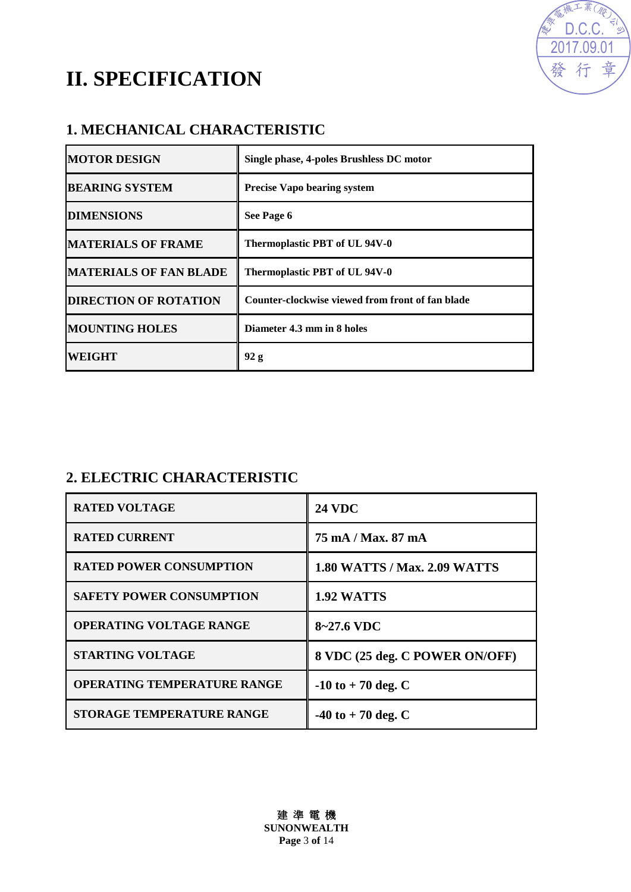

# **II. SPECIFICATION**

# **1. MECHANICAL CHARACTERISTIC**

| <b>MOTOR DESIGN</b>           | Single phase, 4-poles Brushless DC motor         |
|-------------------------------|--------------------------------------------------|
| <b>BEARING SYSTEM</b>         | <b>Precise Vapo bearing system</b>               |
| <b>DIMENSIONS</b>             | See Page 6                                       |
| <b>MATERIALS OF FRAME</b>     | Thermoplastic PBT of UL 94V-0                    |
| <b>MATERIALS OF FAN BLADE</b> | Thermoplastic PBT of UL 94V-0                    |
| <b>DIRECTION OF ROTATION</b>  | Counter-clockwise viewed from front of fan blade |
| <b>MOUNTING HOLES</b>         | Diameter 4.3 mm in 8 holes                       |
| <b>WEIGHT</b>                 | 92 g                                             |

# **2. ELECTRIC CHARACTERISTIC**

| <b>RATED VOLTAGE</b>               | <b>24 VDC</b>                       |
|------------------------------------|-------------------------------------|
| <b>RATED CURRENT</b>               | 75 mA / Max. 87 mA                  |
| <b>RATED POWER CONSUMPTION</b>     | <b>1.80 WATTS / Max. 2.09 WATTS</b> |
| <b>SAFETY POWER CONSUMPTION</b>    | 1.92 WATTS                          |
| <b>OPERATING VOLTAGE RANGE</b>     | 8~27.6 VDC                          |
| <b>STARTING VOLTAGE</b>            | 8 VDC (25 deg. C POWER ON/OFF)      |
| <b>OPERATING TEMPERATURE RANGE</b> | $-10$ to $+70$ deg. C               |
| <b>STORAGE TEMPERATURE RANGE</b>   | $-40$ to $+70$ deg. C               |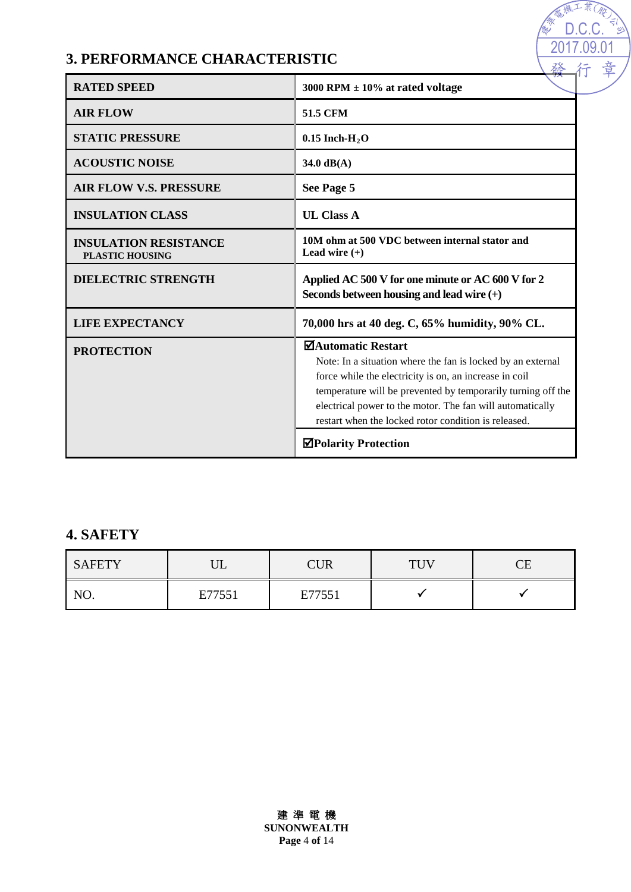# **3. PERFORMANCE CHARACTERISTIC**

| <b>RATED SPEED</b>                                     | 3000 RPM $\pm$ 10% at rated voltage                                                                                                                                                                                                                                                                                                     |  |  |  |
|--------------------------------------------------------|-----------------------------------------------------------------------------------------------------------------------------------------------------------------------------------------------------------------------------------------------------------------------------------------------------------------------------------------|--|--|--|
| <b>AIR FLOW</b>                                        | <b>51.5 CFM</b>                                                                                                                                                                                                                                                                                                                         |  |  |  |
| <b>STATIC PRESSURE</b>                                 | $0.15$ Inch-H <sub>2</sub> O                                                                                                                                                                                                                                                                                                            |  |  |  |
| <b>ACOUSTIC NOISE</b>                                  | $34.0 \text{ dB}(A)$                                                                                                                                                                                                                                                                                                                    |  |  |  |
| <b>AIR FLOW V.S. PRESSURE</b>                          | See Page 5                                                                                                                                                                                                                                                                                                                              |  |  |  |
| <b>INSULATION CLASS</b>                                | <b>UL Class A</b>                                                                                                                                                                                                                                                                                                                       |  |  |  |
| <b>INSULATION RESISTANCE</b><br><b>PLASTIC HOUSING</b> | 10M ohm at 500 VDC between internal stator and<br>Lead wire $(+)$                                                                                                                                                                                                                                                                       |  |  |  |
| <b>DIELECTRIC STRENGTH</b>                             | Applied AC 500 V for one minute or AC 600 V for 2<br>Seconds between housing and lead wire $(+)$                                                                                                                                                                                                                                        |  |  |  |
| <b>LIFE EXPECTANCY</b>                                 | 70,000 hrs at 40 deg. C, 65% humidity, 90% CL.                                                                                                                                                                                                                                                                                          |  |  |  |
| <b>PROTECTION</b>                                      | <b>⊠Automatic Restart</b><br>Note: In a situation where the fan is locked by an external<br>force while the electricity is on, an increase in coil<br>temperature will be prevented by temporarily turning off the<br>electrical power to the motor. The fan will automatically<br>restart when the locked rotor condition is released. |  |  |  |
|                                                        | <b>⊠Polarity Protection</b>                                                                                                                                                                                                                                                                                                             |  |  |  |

2017.09.01 D.C.C.

淼

# **4. SAFETY**

| <b>SAFETY</b> | דז '<br>◡◡ | CUR    | TUV | ~-<br>`⊢ |
|---------------|------------|--------|-----|----------|
| NO.           | E77551     | E77551 |     |          |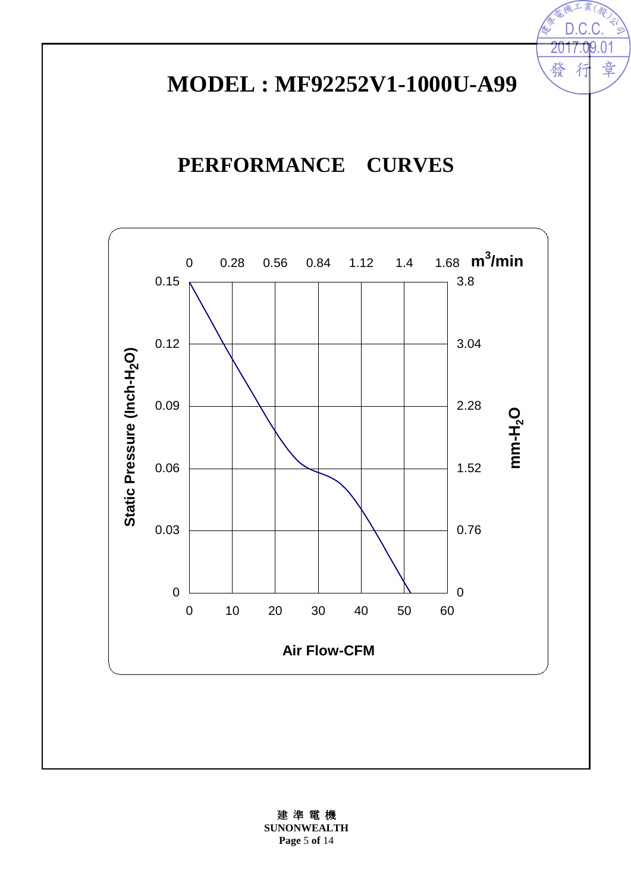# **MODEL : MF92252V1-1000U-A99**

2017.09.01  $D.C.$ 

行

發

業(學

 $\frac{1}{\sqrt{2}}$ 

章

# **PERFORMANCE CURVES**



建 準 電 機 **SUNONWEALTH Page** 5 **of** 14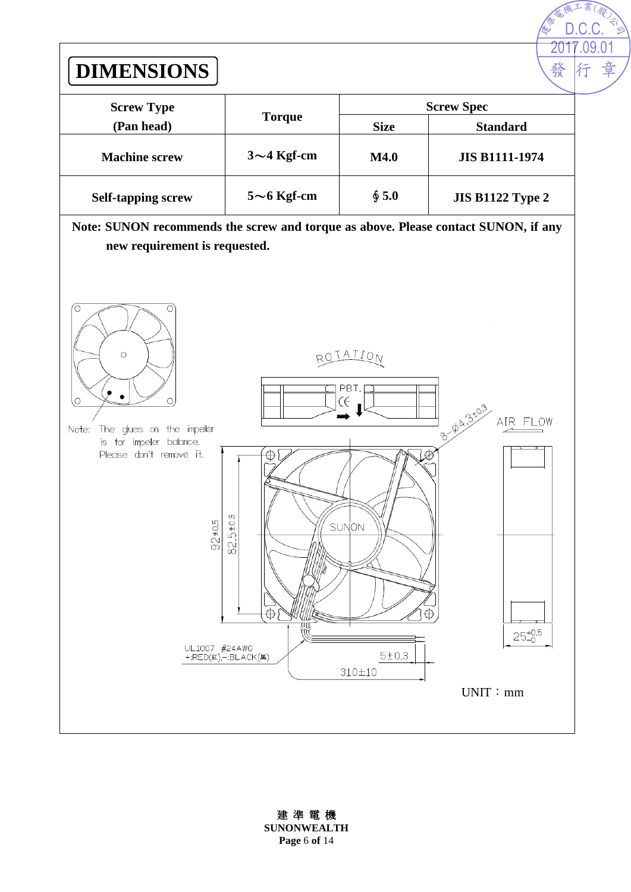

建 準 電 機 **SUNONWEALTH Page** 6 **of** 14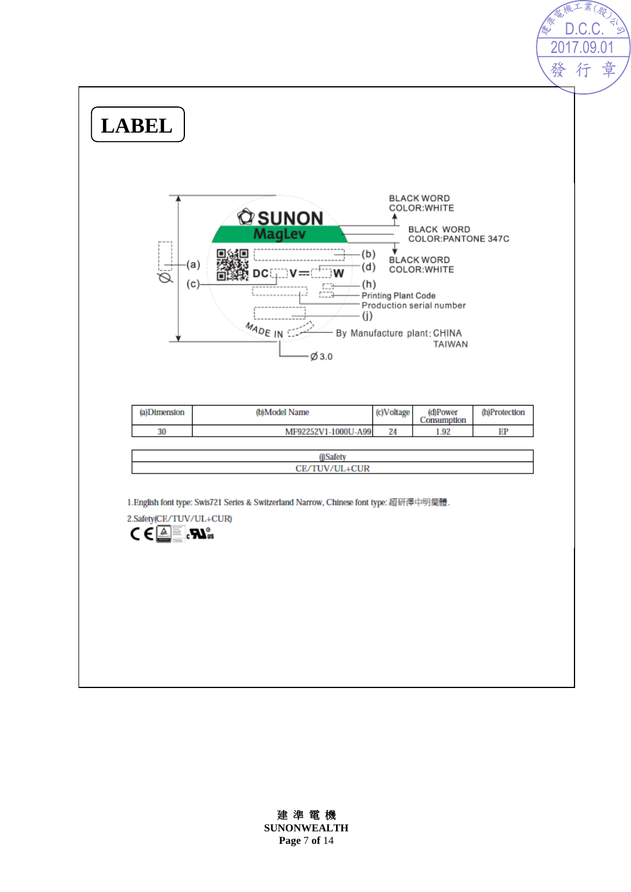

#### 建 準 電 機

**SUNONWEALTH Page** 7 **of** 14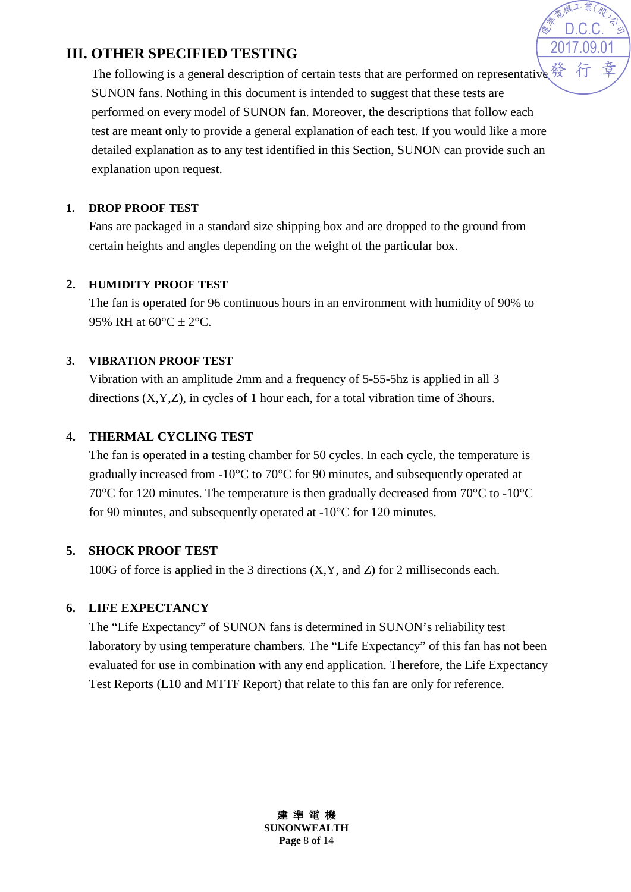# **III. OTHER SPECIFIED TESTING**

The following is a general description of certain tests that are performed on representative  $\frac{35}{98}$ SUNON fans. Nothing in this document is intended to suggest that these tests are performed on every model of SUNON fan. Moreover, the descriptions that follow each test are meant only to provide a general explanation of each test. If you would like a more detailed explanation as to any test identified in this Section, SUNON can provide such an explanation upon request.

2017.09.01 D.C.C.

#### **1. DROP PROOF TEST**

Fans are packaged in a standard size shipping box and are dropped to the ground from certain heights and angles depending on the weight of the particular box.

#### **2. HUMIDITY PROOF TEST**

The fan is operated for 96 continuous hours in an environment with humidity of 90% to 95% RH at  $60^{\circ}$ C  $\pm$  2°C.

#### **3. VIBRATION PROOF TEST**

Vibration with an amplitude 2mm and a frequency of 5-55-5hz is applied in all 3 directions (X,Y,Z), in cycles of 1 hour each, for a total vibration time of 3hours.

## **4. THERMAL CYCLING TEST**

The fan is operated in a testing chamber for 50 cycles. In each cycle, the temperature is gradually increased from -10°C to 70°C for 90 minutes, and subsequently operated at 70°C for 120 minutes. The temperature is then gradually decreased from 70°C to -10°C for 90 minutes, and subsequently operated at -10°C for 120 minutes.

## **5. SHOCK PROOF TEST**

100G of force is applied in the 3 directions (X,Y, and Z) for 2 milliseconds each.

## **6. LIFE EXPECTANCY**

The "Life Expectancy" of SUNON fans is determined in SUNON's reliability test laboratory by using temperature chambers. The "Life Expectancy" of this fan has not been evaluated for use in combination with any end application. Therefore, the Life Expectancy Test Reports (L10 and MTTF Report) that relate to this fan are only for reference.

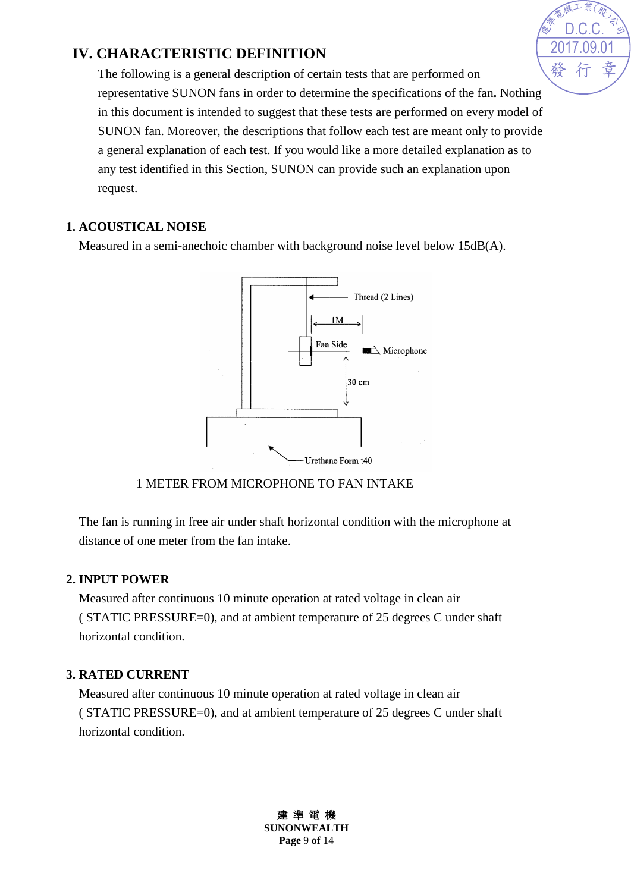# **IV. CHARACTERISTIC DEFINITION**

The following is a general description of certain tests that are performed on representative SUNON fans in order to determine the specifications of the fan**.** Nothing in this document is intended to suggest that these tests are performed on every model of SUNON fan. Moreover, the descriptions that follow each test are meant only to provide a general explanation of each test. If you would like a more detailed explanation as to any test identified in this Section, SUNON can provide such an explanation upon request.

#### **1. ACOUSTICAL NOISE**

Measured in a semi-anechoic chamber with background noise level below 15dB(A).



1 METER FROM MICROPHONE TO FAN INTAKE

The fan is running in free air under shaft horizontal condition with the microphone at distance of one meter from the fan intake.

## **2. INPUT POWER**

Measured after continuous 10 minute operation at rated voltage in clean air ( STATIC PRESSURE=0), and at ambient temperature of 25 degrees C under shaft horizontal condition.

# **3. RATED CURRENT**

Measured after continuous 10 minute operation at rated voltage in clean air ( STATIC PRESSURE=0), and at ambient temperature of 25 degrees C under shaft horizontal condition.



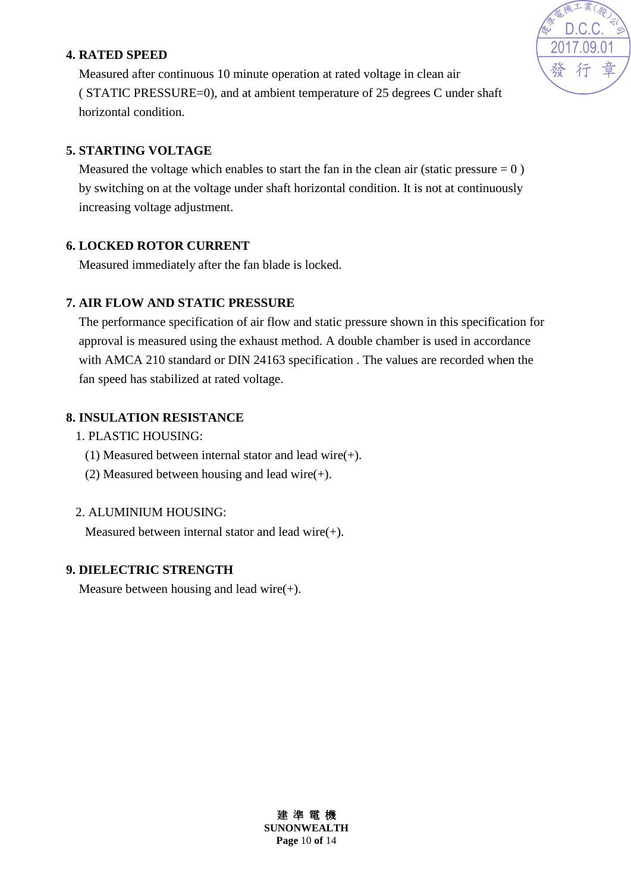## **4. RATED SPEED**



Measured after continuous 10 minute operation at rated voltage in clean air ( STATIC PRESSURE=0), and at ambient temperature of 25 degrees C under shaft horizontal condition.

## **5. STARTING VOLTAGE**

Measured the voltage which enables to start the fan in the clean air (static pressure  $= 0$ ) by switching on at the voltage under shaft horizontal condition. It is not at continuously increasing voltage adjustment.

## **6. LOCKED ROTOR CURRENT**

Measured immediately after the fan blade is locked.

# **7. AIR FLOW AND STATIC PRESSURE**

The performance specification of air flow and static pressure shown in this specification for approval is measured using the exhaust method. A double chamber is used in accordance with AMCA 210 standard or DIN 24163 specification . The values are recorded when the fan speed has stabilized at rated voltage.

# **8. INSULATION RESISTANCE**

- 1. PLASTIC HOUSING:
	- (1) Measured between internal stator and lead wire(+).
	- (2) Measured between housing and lead wire(+).

## 2. ALUMINIUM HOUSING:

Measured between internal stator and lead wire(+).

# **9. DIELECTRIC STRENGTH**

Measure between housing and lead wire $(+)$ .

建 準 電 機 **SUNONWEALTH Page** 10 **of** 14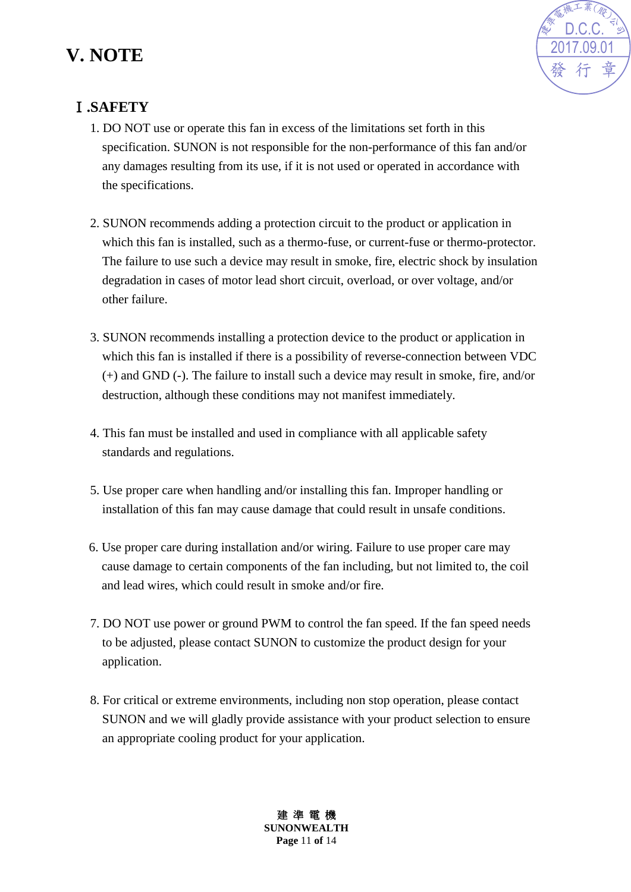# **V. NOTE**



# Ⅰ**.SAFETY**

- 1. DO NOT use or operate this fan in excess of the limitations set forth in this specification. SUNON is not responsible for the non-performance of this fan and/or any damages resulting from its use, if it is not used or operated in accordance with the specifications.
- 2. SUNON recommends adding a protection circuit to the product or application in which this fan is installed, such as a thermo-fuse, or current-fuse or thermo-protector. The failure to use such a device may result in smoke, fire, electric shock by insulation degradation in cases of motor lead short circuit, overload, or over voltage, and/or other failure.
- 3. SUNON recommends installing a protection device to the product or application in which this fan is installed if there is a possibility of reverse-connection between VDC (+) and GND (-). The failure to install such a device may result in smoke, fire, and/or destruction, although these conditions may not manifest immediately.
- 4. This fan must be installed and used in compliance with all applicable safety standards and regulations.
- 5. Use proper care when handling and/or installing this fan. Improper handling or installation of this fan may cause damage that could result in unsafe conditions.
- 6. Use proper care during installation and/or wiring. Failure to use proper care may cause damage to certain components of the fan including, but not limited to, the coil and lead wires, which could result in smoke and/or fire.
- 7. DO NOT use power or ground PWM to control the fan speed. If the fan speed needs to be adjusted, please contact SUNON to customize the product design for your application.
- 8. For critical or extreme environments, including non stop operation, please contact SUNON and we will gladly provide assistance with your product selection to ensure an appropriate cooling product for your application.

建 準 電 機 **SUNONWEALTH Page** 11 **of** 14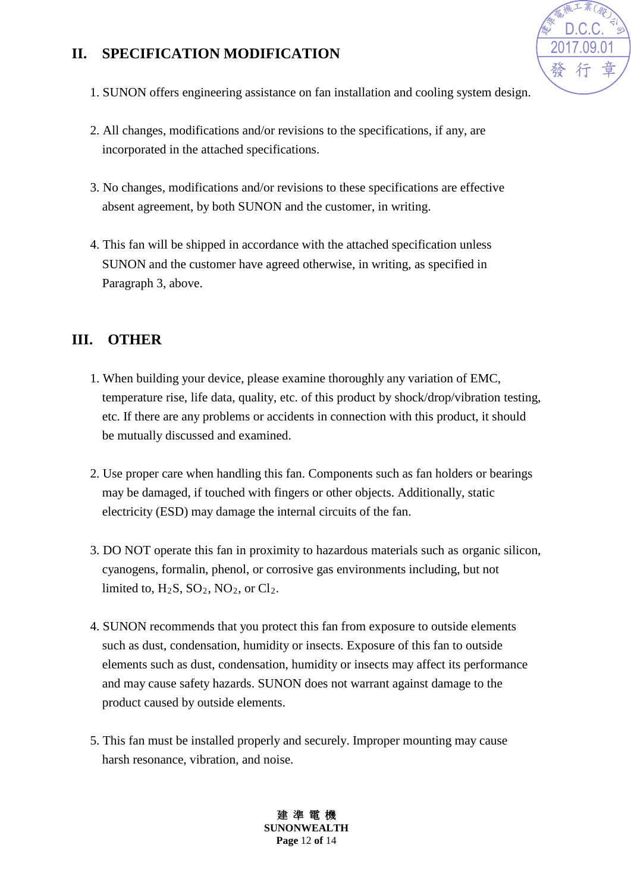# **II. SPECIFICATION MODIFICATION**



- 1. SUNON offers engineering assistance on fan installation and cooling system design.
- 2. All changes, modifications and/or revisions to the specifications, if any, are incorporated in the attached specifications.
- 3. No changes, modifications and/or revisions to these specifications are effective absent agreement, by both SUNON and the customer, in writing.
- 4. This fan will be shipped in accordance with the attached specification unless SUNON and the customer have agreed otherwise, in writing, as specified in Paragraph 3, above.

# **III. OTHER**

- 1. When building your device, please examine thoroughly any variation of EMC, temperature rise, life data, quality, etc. of this product by shock/drop/vibration testing, etc. If there are any problems or accidents in connection with this product, it should be mutually discussed and examined.
- 2. Use proper care when handling this fan. Components such as fan holders or bearings may be damaged, if touched with fingers or other objects. Additionally, static electricity (ESD) may damage the internal circuits of the fan.
- 3. DO NOT operate this fan in proximity to hazardous materials such as organic silicon, cyanogens, formalin, phenol, or corrosive gas environments including, but not limited to,  $H_2S$ ,  $SO_2$ ,  $NO_2$ , or  $Cl_2$ .
- 4. SUNON recommends that you protect this fan from exposure to outside elements such as dust, condensation, humidity or insects. Exposure of this fan to outside elements such as dust, condensation, humidity or insects may affect its performance and may cause safety hazards. SUNON does not warrant against damage to the product caused by outside elements.
- 5. This fan must be installed properly and securely. Improper mounting may cause harsh resonance, vibration, and noise.

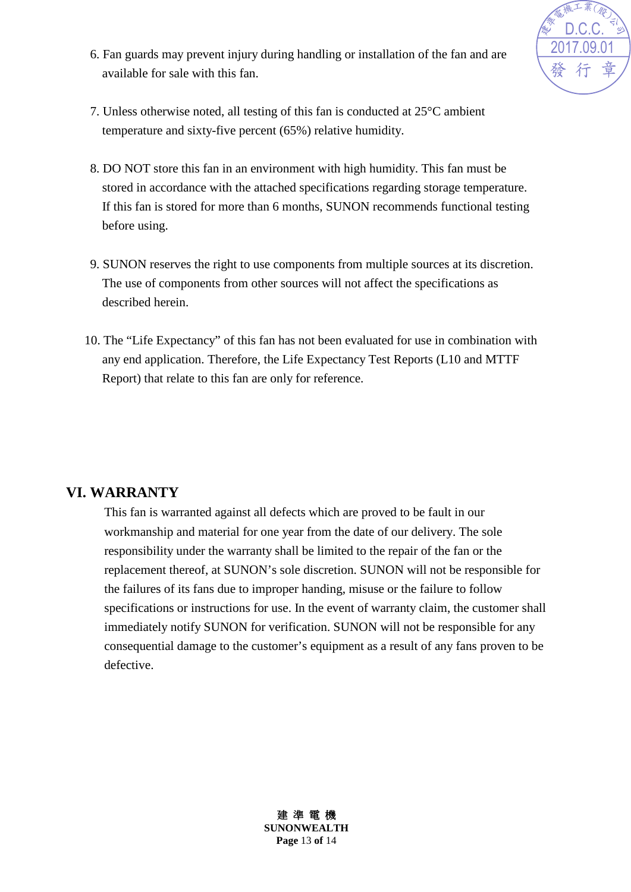

- 6. Fan guards may prevent injury during handling or installation of the fan and are available for sale with this fan.
- 7. Unless otherwise noted, all testing of this fan is conducted at 25°C ambient temperature and sixty-five percent (65%) relative humidity.
- 8. DO NOT store this fan in an environment with high humidity. This fan must be stored in accordance with the attached specifications regarding storage temperature. If this fan is stored for more than 6 months, SUNON recommends functional testing before using.
- 9. SUNON reserves the right to use components from multiple sources at its discretion. The use of components from other sources will not affect the specifications as described herein.
- 10. The "Life Expectancy" of this fan has not been evaluated for use in combination with any end application. Therefore, the Life Expectancy Test Reports (L10 and MTTF Report) that relate to this fan are only for reference.

## **VI. WARRANTY**

This fan is warranted against all defects which are proved to be fault in our workmanship and material for one year from the date of our delivery. The sole responsibility under the warranty shall be limited to the repair of the fan or the replacement thereof, at SUNON's sole discretion. SUNON will not be responsible for the failures of its fans due to improper handing, misuse or the failure to follow specifications or instructions for use. In the event of warranty claim, the customer shall immediately notify SUNON for verification. SUNON will not be responsible for any consequential damage to the customer's equipment as a result of any fans proven to be defective.